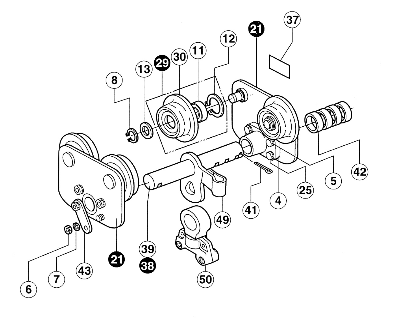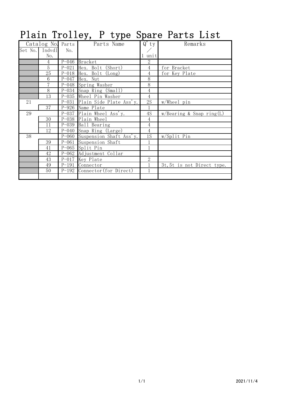| Catalog No. Parts |                 |           | Parts Name              | $Q'$ ty         | Remarks                     |
|-------------------|-----------------|-----------|-------------------------|-----------------|-----------------------------|
|                   | Set No. Indvdl  | No.       |                         |                 |                             |
|                   | No.             |           |                         | 1 unit          |                             |
|                   | $\overline{4}$  | $P - 046$ | Bracket                 | 2               |                             |
|                   | 5               | $P - 021$ | Hex. Bolt (Short)       | $\overline{4}$  | for Bracket                 |
|                   | 25              | $P - 018$ | Hex. Bolt (Long)        | 4               | for Key Plate               |
|                   | $6\phantom{.}6$ | $P - 047$ | Hex. Nut                | 8               |                             |
|                   | $\overline{7}$  | $P - 048$ | Spring Washer           | 8               |                             |
|                   | 8               | $P - 034$ | Snap Ring (Small)       | $\overline{4}$  |                             |
|                   | 13              | $P - 035$ | Wheel Pin Washer        | $\overline{4}$  |                             |
| 21                |                 | $P - 031$ | Plain Side Plate Ass'y. | $\overline{2S}$ | w/Wheel pin                 |
|                   | 37              | $P - 926$ | Name Plate              | 1               |                             |
| 29                |                 | $P - 037$ | Plain Wheel Ass'y.      | 4S              | $w/$ Bearing & Snap ring(L) |
|                   | 30              | $P - 038$ | Plain Wheel             | $\overline{4}$  |                             |
|                   | 11              | $P - 039$ | Ball Bearing            | $\overline{4}$  |                             |
|                   | 12              | $P - 040$ | Snap Ring (Large)       | $\overline{4}$  |                             |
| 38                |                 | $P - 060$ | Suspension Shaft Ass'y. | <b>1S</b>       | w/Split Pin                 |
|                   | 39              | $P - 061$ | Suspension Shaft        |                 |                             |
|                   | 41              | $P - 065$ | Split Pin               | 1               |                             |
|                   | 42              | $P - 062$ | Adjustment Collar       |                 |                             |
|                   | 43              | $P - 017$ | Key Plate               | $\overline{2}$  |                             |
|                   | 49              | $P-191$   | Connector               | 1               | 3t, 5t is not Direct type.  |
|                   | 50              | $P-192$   | Connector (for Direct)  | 1               |                             |
|                   |                 |           |                         |                 |                             |

## Plain Trolley, P type Spare Parts List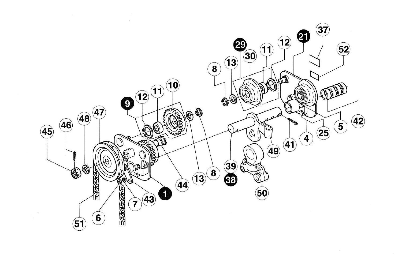